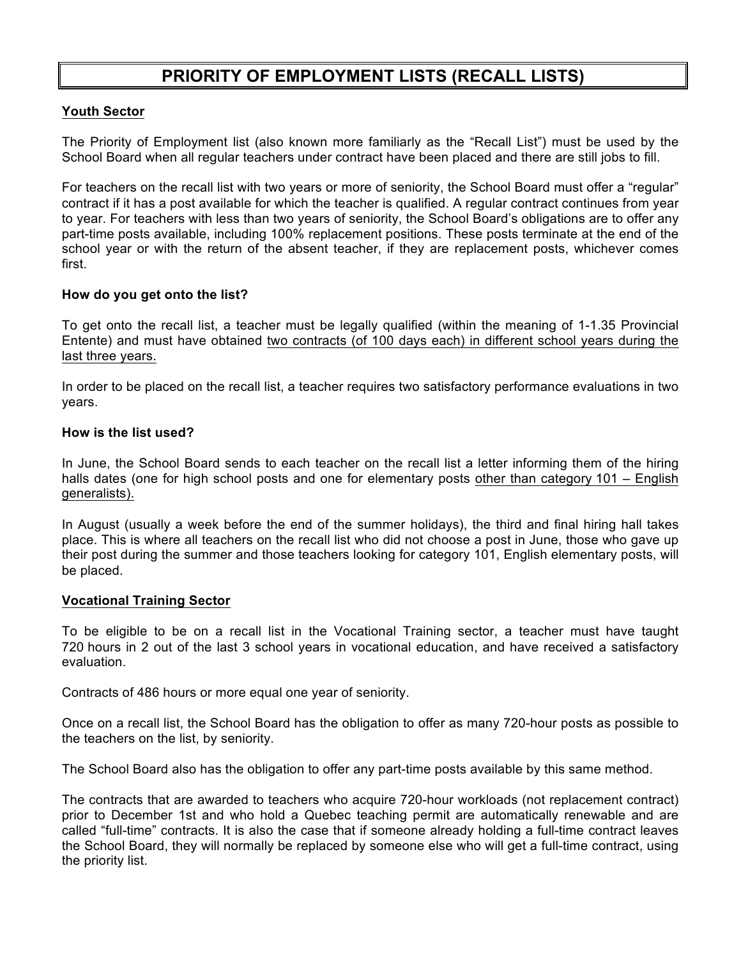# **PRIORITY OF EMPLOYMENT LISTS (RECALL LISTS)**

## **Youth Sector**

The Priority of Employment list (also known more familiarly as the "Recall List") must be used by the School Board when all regular teachers under contract have been placed and there are still jobs to fill.

For teachers on the recall list with two years or more of seniority, the School Board must offer a "regular" contract if it has a post available for which the teacher is qualified. A regular contract continues from year to year. For teachers with less than two years of seniority, the School Board's obligations are to offer any part-time posts available, including 100% replacement positions. These posts terminate at the end of the school year or with the return of the absent teacher, if they are replacement posts, whichever comes first.

### **How do you get onto the list?**

To get onto the recall list, a teacher must be legally qualified (within the meaning of 1-1.35 Provincial Entente) and must have obtained two contracts (of 100 days each) in different school years during the last three years.

In order to be placed on the recall list, a teacher requires two satisfactory performance evaluations in two years.

#### **How is the list used?**

In June, the School Board sends to each teacher on the recall list a letter informing them of the hiring halls dates (one for high school posts and one for elementary posts other than category 101 – English generalists).

In August (usually a week before the end of the summer holidays), the third and final hiring hall takes place. This is where all teachers on the recall list who did not choose a post in June, those who gave up their post during the summer and those teachers looking for category 101, English elementary posts, will be placed.

#### **Vocational Training Sector**

To be eligible to be on a recall list in the Vocational Training sector, a teacher must have taught 720 hours in 2 out of the last 3 school years in vocational education, and have received a satisfactory evaluation.

Contracts of 486 hours or more equal one year of seniority.

Once on a recall list, the School Board has the obligation to offer as many 720-hour posts as possible to the teachers on the list, by seniority.

The School Board also has the obligation to offer any part-time posts available by this same method.

The contracts that are awarded to teachers who acquire 720-hour workloads (not replacement contract) prior to December 1st and who hold a Quebec teaching permit are automatically renewable and are called "full-time" contracts. It is also the case that if someone already holding a full-time contract leaves the School Board, they will normally be replaced by someone else who will get a full-time contract, using the priority list.